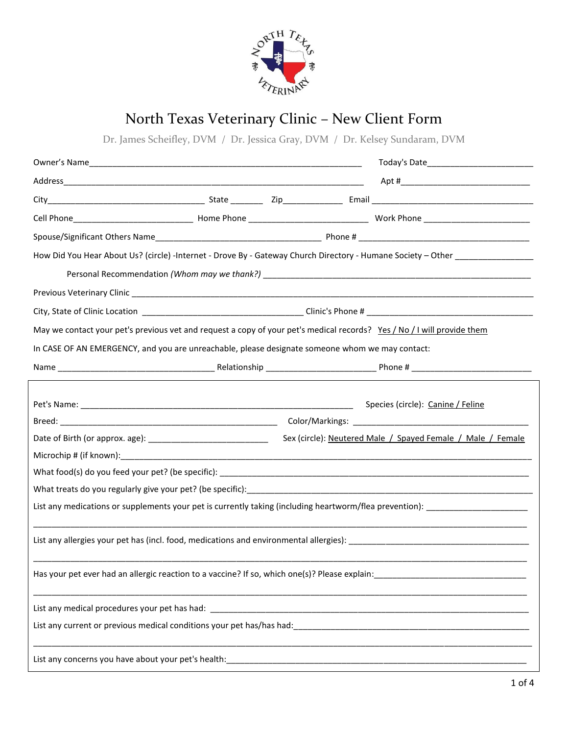

## North Texas Veterinary Clinic – New Client Form

Dr. James Scheifley, DVM / Dr. Jessica Gray, DVM / Dr. Kelsey Sundaram, DVM

| How Did You Hear About Us? (circle) -Internet - Drove By - Gateway Church Directory - Humane Society - Other ________________                                                                                                     |  |  |                                                             |
|-----------------------------------------------------------------------------------------------------------------------------------------------------------------------------------------------------------------------------------|--|--|-------------------------------------------------------------|
| Personal Recommendation (Whom may we thank?) example and the contract of the contract of the contract of the contract of the contract of the contract of the contract of the contract of the contract of the contract of the c    |  |  |                                                             |
|                                                                                                                                                                                                                                   |  |  |                                                             |
|                                                                                                                                                                                                                                   |  |  |                                                             |
| May we contact your pet's previous vet and request a copy of your pet's medical records? Yes / No / I will provide them                                                                                                           |  |  |                                                             |
| In CASE OF AN EMERGENCY, and you are unreachable, please designate someone whom we may contact:                                                                                                                                   |  |  |                                                             |
|                                                                                                                                                                                                                                   |  |  |                                                             |
|                                                                                                                                                                                                                                   |  |  |                                                             |
|                                                                                                                                                                                                                                   |  |  | Species (circle): Canine / Feline                           |
|                                                                                                                                                                                                                                   |  |  |                                                             |
|                                                                                                                                                                                                                                   |  |  | Sex (circle): Neutered Male / Spayed Female / Male / Female |
|                                                                                                                                                                                                                                   |  |  |                                                             |
|                                                                                                                                                                                                                                   |  |  |                                                             |
|                                                                                                                                                                                                                                   |  |  |                                                             |
| List any medications or supplements your pet is currently taking (including heartworm/flea prevention): _______________________________                                                                                           |  |  |                                                             |
|                                                                                                                                                                                                                                   |  |  |                                                             |
| Has your pet ever had an allergic reaction to a vaccine? If so, which one(s)? Please explain:                                                                                                                                     |  |  |                                                             |
|                                                                                                                                                                                                                                   |  |  |                                                             |
| List any current or previous medical conditions your pet has/has had:<br>example and the content of the content of the content of the content of the content of the content of the content of the content of the content of the c |  |  |                                                             |
|                                                                                                                                                                                                                                   |  |  |                                                             |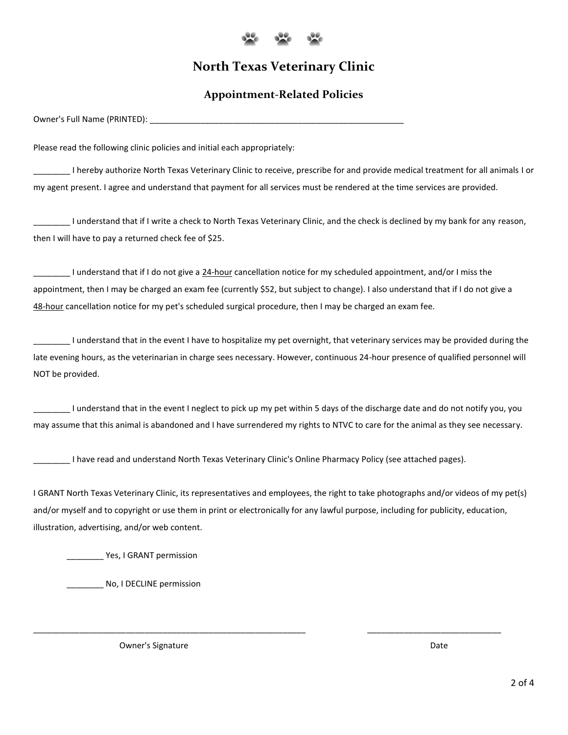

## **North Texas Veterinary Clinic**

## **Appointment-Related Policies**

Owner's Full Name (PRINTED):

Please read the following clinic policies and initial each appropriately:

\_\_\_\_\_\_\_\_ I hereby authorize North Texas Veterinary Clinic to receive, prescribe for and provide medical treatment for all animals I or my agent present. I agree and understand that payment for all services must be rendered at the time services are provided.

\_\_\_\_\_\_\_\_ I understand that if I write a check to North Texas Veterinary Clinic, and the check is declined by my bank for any reason, then I will have to pay a returned check fee of \$25.

\_\_\_\_\_\_\_\_ I understand that if I do not give a 24-hour cancellation notice for my scheduled appointment, and/or I miss the appointment, then I may be charged an exam fee (currently \$52, but subject to change). I also understand that if I do not give a 48-hour cancellation notice for my pet's scheduled surgical procedure, then I may be charged an exam fee.

\_\_\_\_\_\_\_\_ I understand that in the event I have to hospitalize my pet overnight, that veterinary services may be provided during the late evening hours, as the veterinarian in charge sees necessary. However, continuous 24-hour presence of qualified personnel will NOT be provided.

\_\_\_\_\_\_\_\_ I understand that in the event I neglect to pick up my pet within 5 days of the discharge date and do not notify you, you may assume that this animal is abandoned and I have surrendered my rights to NTVC to care for the animal as they see necessary.

\_\_\_\_\_\_\_\_ I have read and understand North Texas Veterinary Clinic's Online Pharmacy Policy (see attached pages).

I GRANT North Texas Veterinary Clinic, its representatives and employees, the right to take photographs and/or videos of my pet(s) and/or myself and to copyright or use them in print or electronically for any lawful purpose, including for publicity, education, illustration, advertising, and/or web content.

\_\_\_\_\_\_\_\_\_\_\_\_\_\_\_\_\_\_\_\_\_\_\_\_\_\_\_\_\_\_\_\_\_\_\_\_\_\_\_\_\_\_\_\_\_\_\_\_\_\_\_\_\_\_\_\_\_\_\_ \_\_\_\_\_\_\_\_\_\_\_\_\_\_\_\_\_\_\_\_\_\_\_\_\_\_\_\_\_

Yes, I GRANT permission

No, I DECLINE permission

Owner's Signature **Date Date Date Date Date Date Date Date Date Date**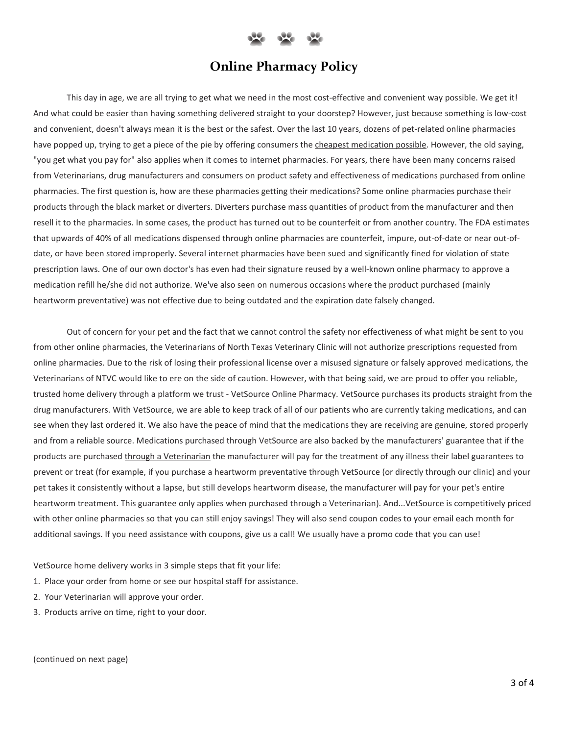

## **Online Pharmacy Policy**

This day in age, we are all trying to get what we need in the most cost-effective and convenient way possible. We get it! And what could be easier than having something delivered straight to your doorstep? However, just because something is low-cost and convenient, doesn't always mean it is the best or the safest. Over the last 10 years, dozens of pet-related online pharmacies have popped up, trying to get a piece of the pie by offering consumers the cheapest medication possible. However, the old saying, "you get what you pay for" also applies when it comes to internet pharmacies. For years, there have been many concerns raised from Veterinarians, drug manufacturers and consumers on product safety and effectiveness of medications purchased from online pharmacies. The first question is, how are these pharmacies getting their medications? Some online pharmacies purchase their products through the black market or diverters. Diverters purchase mass quantities of product from the manufacturer and then resell it to the pharmacies. In some cases, the product has turned out to be counterfeit or from another country. The FDA estimates that upwards of 40% of all medications dispensed through online pharmacies are counterfeit, impure, out-of-date or near out-ofdate, or have been stored improperly. Several internet pharmacies have been sued and significantly fined for violation of state prescription laws. One of our own doctor's has even had their signature reused by a well-known online pharmacy to approve a medication refill he/she did not authorize. We've also seen on numerous occasions where the product purchased (mainly heartworm preventative) was not effective due to being outdated and the expiration date falsely changed.

Out of concern for your pet and the fact that we cannot control the safety nor effectiveness of what might be sent to you from other online pharmacies, the Veterinarians of North Texas Veterinary Clinic will not authorize prescriptions requested from online pharmacies. Due to the risk of losing their professional license over a misused signature or falsely approved medications, the Veterinarians of NTVC would like to ere on the side of caution. However, with that being said, we are proud to offer you reliable, trusted home delivery through a platform we trust - VetSource Online Pharmacy. VetSource purchases its products straight from the drug manufacturers. With VetSource, we are able to keep track of all of our patients who are currently taking medications, and can see when they last ordered it. We also have the peace of mind that the medications they are receiving are genuine, stored properly and from a reliable source. Medications purchased through VetSource are also backed by the manufacturers' guarantee that if the products are purchased through a Veterinarian the manufacturer will pay for the treatment of any illness their label guarantees to prevent or treat (for example, if you purchase a heartworm preventative through VetSource (or directly through our clinic) and your pet takes it consistently without a lapse, but still develops heartworm disease, the manufacturer will pay for your pet's entire heartworm treatment. This guarantee only applies when purchased through a Veterinarian). And...VetSource is competitively priced with other online pharmacies so that you can still enjoy savings! They will also send coupon codes to your email each month for additional savings. If you need assistance with coupons, give us a call! We usually have a promo code that you can use!

VetSource home delivery works in 3 simple steps that fit your life:

- 1. Place your order from home or see our hospital staff for assistance.
- 2. Your Veterinarian will approve your order.
- 3. Products arrive on time, right to your door.

(continued on next page)